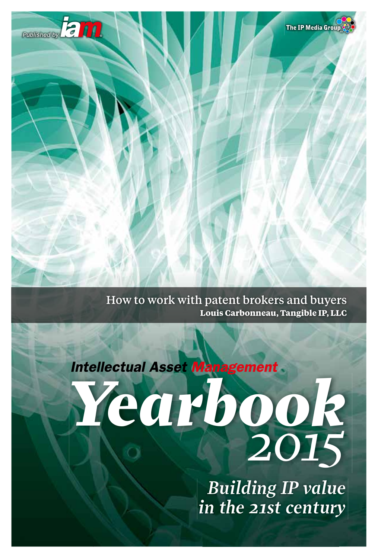

How to work with patent brokers and buyers **Louis Carbonneau, Tangible IP, LLC**



*Building IP value in the 21st century*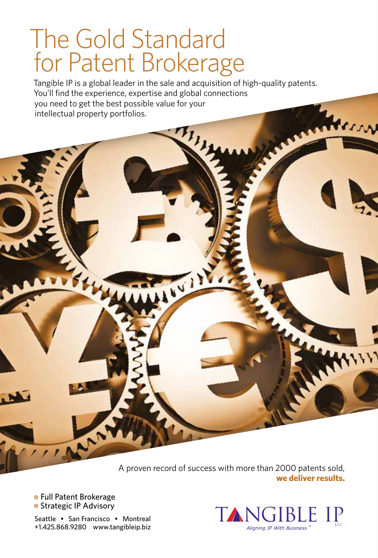# The Gold Standard for Patent Brokerage

Tangible IP is a global leader in the sale and acquisition of high-quality patents. You'll find the experience, expertise and global connections you need to get the best possible value for your intellectual property portfolios.

VI

A proven record of success with more than 2000 patents sold, **we deliver results.**

• Full Patent Brokerage **• Strategic IP Advisory** 

 $\mathbf{r}$ 

Seattle • San Francisco • Montreal +1.425.868.9280 www.tangibleip.biz



HAVIT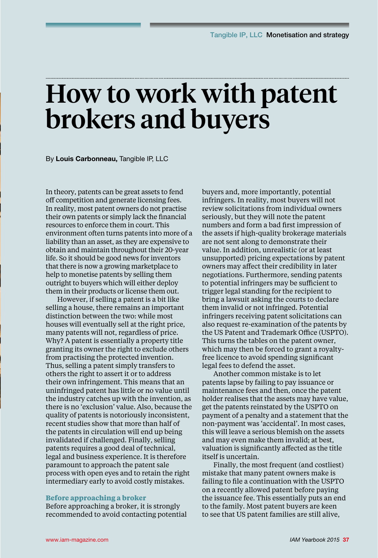# How to work with patent brokers and buyers

By **Louis Carbonneau,** Tangible IP, LLC

In theory, patents can be great assets to fend off competition and generate licensing fees. In reality, most patent owners do not practise their own patents or simply lack the financial resources to enforce them in court. This environment often turns patents into more of a liability than an asset, as they are expensive to obtain and maintain throughout their 20-year life. So it should be good news for inventors that there is now a growing marketplace to help to monetise patents by selling them outright to buyers which will either deploy them in their products or license them out.

However, if selling a patent is a bit like selling a house, there remains an important distinction between the two: while most houses will eventually sell at the right price, many patents will not, regardless of price. Why? A patent is essentially a property title granting its owner the right to exclude others from practising the protected invention. Thus, selling a patent simply transfers to others the right to assert it or to address their own infringement. This means that an uninfringed patent has little or no value until the industry catches up with the invention, as there is no 'exclusion' value. Also, because the quality of patents is notoriously inconsistent, recent studies show that more than half of the patents in circulation will end up being invalidated if challenged. Finally, selling patents requires a good deal of technical, legal and business experience. It is therefore paramount to approach the patent sale process with open eyes and to retain the right intermediary early to avoid costly mistakes.

#### **Before approaching a broker**

Before approaching a broker, it is strongly recommended to avoid contacting potential buyers and, more importantly, potential infringers. In reality, most buyers will not review solicitations from individual owners seriously, but they will note the patent numbers and form a bad first impression of the assets if high-quality brokerage materials are not sent along to demonstrate their value. In addition, unrealistic (or at least unsupported) pricing expectations by patent owners may affect their credibility in later negotiations. Furthermore, sending patents to potential infringers may be sufficient to trigger legal standing for the recipient to bring a lawsuit asking the courts to declare them invalid or not infringed. Potential infringers receiving patent solicitations can also request re-examination of the patents by the US Patent and Trademark Office (USPTO). This turns the tables on the patent owner, which may then be forced to grant a royaltyfree licence to avoid spending significant legal fees to defend the asset.

Another common mistake is to let patents lapse by failing to pay issuance or maintenance fees and then, once the patent holder realises that the assets may have value, get the patents reinstated by the USPTO on payment of a penalty and a statement that the non-payment was 'accidental'. In most cases, this will leave a serious blemish on the assets and may even make them invalid; at best, valuation is significantly affected as the title itself is uncertain.

Finally, the most frequent (and costliest) mistake that many patent owners make is failing to file a continuation with the USPTO on a recently allowed patent before paying the issuance fee. This essentially puts an end to the family. Most patent buyers are keen to see that US patent families are still alive,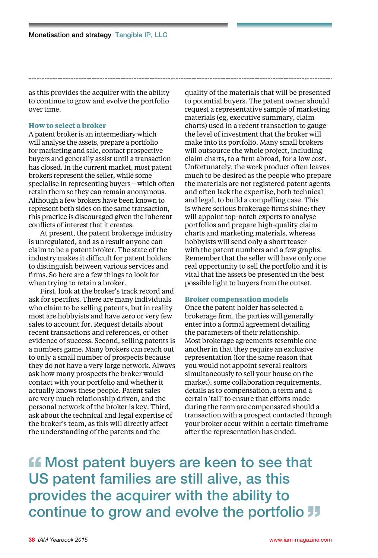as this provides the acquirer with the ability to continue to grow and evolve the portfolio over time.

### **How to select a broker**

A patent broker is an intermediary which will analyse the assets, prepare a portfolio for marketing and sale, contact prospective buyers and generally assist until a transaction has closed. In the current market, most patent brokers represent the seller, while some specialise in representing buyers – which often retain them so they can remain anonymous. Although a few brokers have been known to represent both sides on the same transaction, this practice is discouraged given the inherent conflicts of interest that it creates.

At present, the patent brokerage industry is unregulated, and as a result anyone can claim to be a patent broker. The state of the industry makes it difficult for patent holders to distinguish between various services and firms. So here are a few things to look for when trying to retain a broker.

First, look at the broker's track record and ask for specifics. There are many individuals who claim to be selling patents, but in reality most are hobbyists and have zero or very few sales to account for. Request details about recent transactions and references, or other evidence of success. Second, selling patents is a numbers game. Many brokers can reach out to only a small number of prospects because they do not have a very large network. Always ask how many prospects the broker would contact with your portfolio and whether it actually knows these people. Patent sales are very much relationship driven, and the personal network of the broker is key. Third, ask about the technical and legal expertise of the broker's team, as this will directly affect the understanding of the patents and the

quality of the materials that will be presented to potential buyers. The patent owner should request a representative sample of marketing materials (eg, executive summary, claim charts) used in a recent transaction to gauge the level of investment that the broker will make into its portfolio. Many small brokers will outsource the whole project, including claim charts, to a firm abroad, for a low cost. Unfortunately, the work product often leaves much to be desired as the people who prepare the materials are not registered patent agents and often lack the expertise, both technical and legal, to build a compelling case. This is where serious brokerage firms shine: they will appoint top-notch experts to analyse portfolios and prepare high-quality claim charts and marketing materials, whereas hobbyists will send only a short teaser with the patent numbers and a few graphs. Remember that the seller will have only one real opportunity to sell the portfolio and it is vital that the assets be presented in the best possible light to buyers from the outset.

#### **Broker compensation models**

Once the patent holder has selected a brokerage firm, the parties will generally enter into a formal agreement detailing the parameters of their relationship. Most brokerage agreements resemble one another in that they require an exclusive representation (for the same reason that you would not appoint several realtors simultaneously to sell your house on the market), some collaboration requirements, details as to compensation, a term and a certain 'tail' to ensure that efforts made during the term are compensated should a transaction with a prospect contacted through your broker occur within a certain timeframe after the representation has ended.

**ff** Most patent buyers are keen to see that US patent families are still alive, as this provides the acquirer with the ability to continue to grow and evolve the portfolio JJ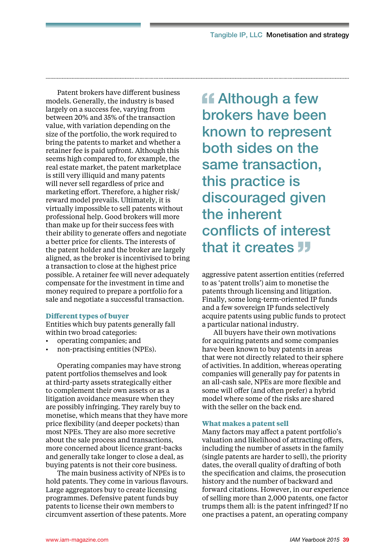Patent brokers have different business models. Generally, the industry is based largely on a success fee, varying from between 20% and 35% of the transaction value, with variation depending on the size of the portfolio, the work required to bring the patents to market and whether a retainer fee is paid upfront. Although this seems high compared to, for example, the real estate market, the patent marketplace is still very illiquid and many patents will never sell regardless of price and marketing effort. Therefore, a higher risk/ reward model prevails. Ultimately, it is virtually impossible to sell patents without professional help. Good brokers will more than make up for their success fees with their ability to generate offers and negotiate a better price for clients. The interests of the patent holder and the broker are largely aligned, as the broker is incentivised to bring a transaction to close at the highest price possible. A retainer fee will never adequately compensate for the investment in time and money required to prepare a portfolio for a sale and negotiate a successful transaction.

#### **Different types of buyer**

Entities which buy patents generally fall within two broad categories:

- operating companies; and
- non-practising entities (NPEs).

Operating companies may have strong patent portfolios themselves and look at third-party assets strategically either to complement their own assets or as a litigation avoidance measure when they are possibly infringing. They rarely buy to monetise, which means that they have more price flexibility (and deeper pockets) than most NPEs. They are also more secretive about the sale process and transactions, more concerned about licence grant-backs and generally take longer to close a deal, as buying patents is not their core business.

The main business activity of NPEs is to hold patents. They come in various flavours. Large aggregators buy to create licensing programmes. Defensive patent funds buy patents to license their own members to circumvent assertion of these patents. More

**Although a few** brokers have been known to represent both sides on the same transaction, this practice is discouraged given the inherent conflicts of interest that it creates **JJ** 

aggressive patent assertion entities (referred to as 'patent trolls') aim to monetise the patents through licensing and litigation. Finally, some long-term-oriented IP funds and a few sovereign IP funds selectively acquire patents using public funds to protect a particular national industry.

All buyers have their own motivations for acquiring patents and some companies have been known to buy patents in areas that were not directly related to their sphere of activities. In addition, whereas operating companies will generally pay for patents in an all-cash sale, NPEs are more flexible and some will offer (and often prefer) a hybrid model where some of the risks are shared with the seller on the back end.

#### **What makes a patent sell**

Many factors may affect a patent portfolio's valuation and likelihood of attracting offers, including the number of assets in the family (single patents are harder to sell), the priority dates, the overall quality of drafting of both the specification and claims, the prosecution history and the number of backward and forward citations. However, in our experience of selling more than 2,000 patents, one factor trumps them all: is the patent infringed? If no one practises a patent, an operating company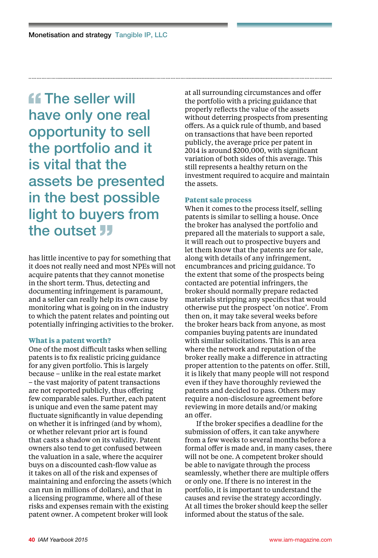**ff** The seller will have only one real opportunity to sell the portfolio and it is vital that the assets be presented in the best possible light to buyers from the outset **JJ** 

has little incentive to pay for something that it does not really need and most NPEs will not acquire patents that they cannot monetise in the short term. Thus, detecting and documenting infringement is paramount, and a seller can really help its own cause by monitoring what is going on in the industry to which the patent relates and pointing out potentially infringing activities to the broker.

#### **What is a patent worth?**

One of the most difficult tasks when selling patents is to fix realistic pricing guidance for any given portfolio. This is largely because – unlike in the real estate market – the vast majority of patent transactions are not reported publicly, thus offering few comparable sales. Further, each patent is unique and even the same patent may fluctuate significantly in value depending on whether it is infringed (and by whom), or whether relevant prior art is found that casts a shadow on its validity. Patent owners also tend to get confused between the valuation in a sale, where the acquirer buys on a discounted cash-flow value as it takes on all of the risk and expenses of maintaining and enforcing the assets (which can run in millions of dollars), and that in a licensing programme, where all of these risks and expenses remain with the existing patent owner. A competent broker will look

at all surrounding circumstances and offer the portfolio with a pricing guidance that properly reflects the value of the assets without deterring prospects from presenting offers. As a quick rule of thumb, and based on transactions that have been reported publicly, the average price per patent in 2014 is around \$200,000, with significant variation of both sides of this average. This still represents a healthy return on the investment required to acquire and maintain the assets.

#### **Patent sale process**

When it comes to the process itself, selling patents is similar to selling a house. Once the broker has analysed the portfolio and prepared all the materials to support a sale, it will reach out to prospective buyers and let them know that the patents are for sale, along with details of any infringement, encumbrances and pricing guidance. To the extent that some of the prospects being contacted are potential infringers, the broker should normally prepare redacted materials stripping any specifics that would otherwise put the prospect 'on notice'. From then on, it may take several weeks before the broker hears back from anyone, as most companies buying patents are inundated with similar solicitations. This is an area where the network and reputation of the broker really make a difference in attracting proper attention to the patents on offer. Still, it is likely that many people will not respond even if they have thoroughly reviewed the patents and decided to pass. Others may require a non-disclosure agreement before reviewing in more details and/or making an offer.

If the broker specifies a deadline for the submission of offers, it can take anywhere from a few weeks to several months before a formal offer is made and, in many cases, there will not be one. A competent broker should be able to navigate through the process seamlessly, whether there are multiple offers or only one. If there is no interest in the portfolio, it is important to understand the causes and revise the strategy accordingly. At all times the broker should keep the seller informed about the status of the sale.